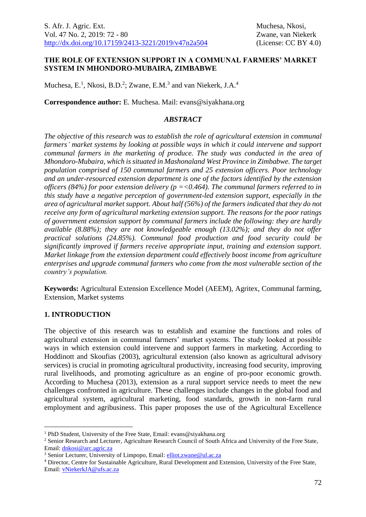### **THE ROLE OF EXTENSION SUPPORT IN A COMMUNAL FARMERS' MARKET SYSTEM IN MHONDORO-MUBAIRA, ZIMBABWE**

Muchesa, E.<sup>1</sup>, Nkosi, B.D.<sup>2</sup>; Zwane, E.M.<sup>3</sup> and van Niekerk, J.A.<sup>4</sup>

**Correspondence author:** E. Muchesa. Mail: evans@siyakhana.org

### *ABSTRACT*

*The objective of this research was to establish the role of agricultural extension in communal farmers' market systems by looking at possible ways in which it could intervene and support communal farmers in the marketing of produce. The study was conducted in the area of Mhondoro-Mubaira, which is situated in Mashonaland West Province in Zimbabwe. The target population comprised of 150 communal farmers and 25 extension officers. Poor technology and an under-resourced extension department is one of the factors identified by the extension officers (84%) for poor extension delivery (p =<0.464). The communal farmers referred to in this study have a negative perception of government-led extension support, especially in the area of agricultural market support. About half (56%) of the farmers indicated that they do not receive any form of agricultural marketing extension support. The reasons for the poor ratings of government extension support by communal farmers include the following: they are hardly available (8.88%); they are not knowledgeable enough (13.02%); and they do not offer practical solutions (24.85%). Communal food production and food security could be significantly improved if farmers receive appropriate input, training and extension support. Market linkage from the extension department could effectively boost income from agriculture enterprises and upgrade communal farmers who come from the most vulnerable section of the country's population.*

**Keywords:** Agricultural Extension Excellence Model (AEEM), Agritex, Communal farming, Extension, Market systems

## **1. INTRODUCTION**

1

The objective of this research was to establish and examine the functions and roles of agricultural extension in communal farmers' market systems. The study looked at possible ways in which extension could intervene and support farmers in marketing. According to Hoddinott and Skoufias (2003), agricultural extension (also known as agricultural advisory services) is crucial in promoting agricultural productivity, increasing food security, improving rural livelihoods, and promoting agriculture as an engine of pro-poor economic growth. According to Muchesa (2013), extension as a rural support service needs to meet the new challenges confronted in agriculture. These challenges include changes in the global food and agricultural system, agricultural marketing, food standards, growth in non-farm rural employment and agribusiness. This paper proposes the use of the Agricultural Excellence

<sup>&</sup>lt;sup>1</sup> PhD Student, University of the Free State, Email: evans@siyakhana.org

<sup>&</sup>lt;sup>2</sup> Senior Research and Lecturer, Agriculture Research Council of South Africa and University of the Free State, Email: [dnkosi@arc.agric.za](mailto:dnkosi@arc.agric.za)

<sup>&</sup>lt;sup>3</sup> Senior Lecturer, University of Limpopo, Email: [elliot.zwane@ul.ac.za](mailto:elliot.zwane@ul.ac.za)

<sup>4</sup> Director, Centre for Sustainable Agriculture, Rural Development and Extension, University of the Free State, Email: [vNiekerkJA@ufs.ac.za](mailto:vNiekerkJA@ufs.ac.za)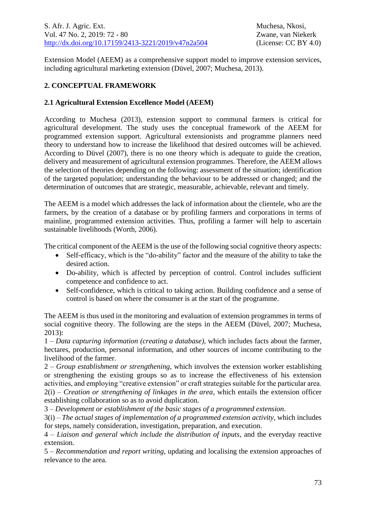Extension Model (AEEM) as a comprehensive support model to improve extension services, including agricultural marketing extension (Düvel, 2007; Muchesa, 2013).

# **2. CONCEPTUAL FRAMEWORK**

### **2.1 Agricultural Extension Excellence Model (AEEM)**

According to Muchesa (2013), extension support to communal farmers is critical for agricultural development. The study uses the conceptual framework of the AEEM for programmed extension support. Agricultural extensionists and programme planners need theory to understand how to increase the likelihood that desired outcomes will be achieved. According to Düvel (2007), there is no one theory which is adequate to guide the creation, delivery and measurement of agricultural extension programmes. Therefore, the AEEM allows the selection of theories depending on the following: assessment of the situation; identification of the targeted population; understanding the behaviour to be addressed or changed; and the determination of outcomes that are strategic, measurable, achievable, relevant and timely.

The AEEM is a model which addresses the lack of information about the clientele, who are the farmers, by the creation of a database or by profiling farmers and corporations in terms of mainline, programmed extension activities. Thus, profiling a farmer will help to ascertain sustainable livelihoods (Worth, 2006).

The critical component of the AEEM is the use of the following social cognitive theory aspects:

- Self-efficacy, which is the "do-ability" factor and the measure of the ability to take the desired action.
- Do-ability, which is affected by perception of control. Control includes sufficient competence and confidence to act.
- Self-confidence, which is critical to taking action. Building confidence and a sense of control is based on where the consumer is at the start of the programme.

The AEEM is thus used in the monitoring and evaluation of extension programmes in terms of social cognitive theory. The following are the steps in the AEEM (Düvel, 2007; Muchesa, 2013):

1 – *Data capturing information (creating a database)*, which includes facts about the farmer, hectares, production, personal information, and other sources of income contributing to the livelihood of the farmer.

2 – *Group establishment or strengthening*, which involves the extension worker establishing or strengthening the existing groups so as to increase the effectiveness of his extension activities, and employing "creative extension" or craft strategies suitable for the particular area. 2(i) – *Creation or strengthening of linkages in the area*, which entails the extension officer establishing collaboration so as to avoid duplication.

3 – *Development or establishment of the basic stages of a programmed extension*.

3(i) – *The actual stages of implementation of a programmed extension activity*, which includes for steps, namely consideration, investigation, preparation, and execution.

4 – *Liaison and general which include the distribution of inputs*, and the everyday reactive extension.

5 – *Recommendation and report writing*, updating and localising the extension approaches of relevance to the area.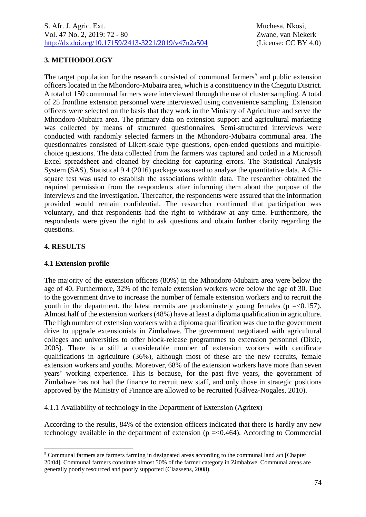# **3. METHODOLOGY**

The target population for the research consisted of communal farmers<sup>5</sup> and public extension officers located in the Mhondoro-Mubaira area, which is a constituency in the Chegutu District. A total of 150 communal farmers were interviewed through the use of cluster sampling. A total of 25 frontline extension personnel were interviewed using convenience sampling. Extension officers were selected on the basis that they work in the Ministry of Agriculture and serve the Mhondoro-Mubaira area. The primary data on extension support and agricultural marketing was collected by means of structured questionnaires. Semi-structured interviews were conducted with randomly selected farmers in the Mhondoro-Mubaira communal area. The questionnaires consisted of Likert-scale type questions, open-ended questions and multiplechoice questions. The data collected from the farmers was captured and coded in a Microsoft Excel spreadsheet and cleaned by checking for capturing errors. The Statistical Analysis System (SAS), Statistical 9.4 (2016) package was used to analyse the quantitative data. A Chisquare test was used to establish the associations within data. The researcher obtained the required permission from the respondents after informing them about the purpose of the interviews and the investigation. Thereafter, the respondents were assured that the information provided would remain confidential. The researcher confirmed that participation was voluntary, and that respondents had the right to withdraw at any time. Furthermore, the respondents were given the right to ask questions and obtain further clarity regarding the questions.

## **4. RESULTS**

1

#### **4.1 Extension profile**

The majority of the extension officers (80%) in the Mhondoro-Mubaira area were below the age of 40. Furthermore, 32% of the female extension workers were below the age of 30. Due to the government drive to increase the number of female extension workers and to recruit the youth in the department, the latest recruits are predominately young females ( $p = 0.157$ ). Almost half of the extension workers (48%) have at least a diploma qualification in agriculture. The high number of extension workers with a diploma qualification was due to the government drive to upgrade extensionists in Zimbabwe. The government negotiated with agricultural colleges and universities to offer block-release programmes to extension personnel (Dixie, 2005). There is a still a considerable number of extension workers with certificate qualifications in agriculture (36%), although most of these are the new recruits, female extension workers and youths. Moreover, 68% of the extension workers have more than seven years' working experience. This is because, for the past five years, the government of Zimbabwe has not had the finance to recruit new staff, and only those in strategic positions approved by the Ministry of Finance are allowed to be recruited (Gálvez-Nogales, 2010).

4.1.1 Availability of technology in the Department of Extension (Agritex)

According to the results, 84% of the extension officers indicated that there is hardly any new technology available in the department of extension ( $p = 0.464$ ). According to Commercial

<sup>5</sup> Communal farmers are farmers farming in designated areas according to the communal land act [Chapter 20:04]. Communal farmers constitute almost 50% of the farmer category in Zimbabwe. Communal areas are generally poorly resourced and poorly supported (Claassens, 2008).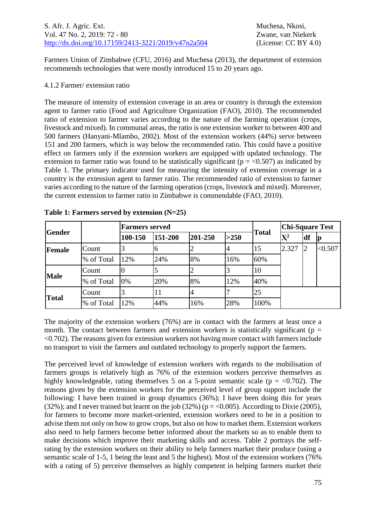Farmers Union of Zimbabwe (CFU, 2016) and Muchesa (2013), the department of extension recommends technologies that were mostly introduced 15 to 20 years ago.

### 4.1.2 Farmer/ extension ratio

The measure of intensity of extension coverage in an area or country is through the extension agent to farmer ratio (Food and Agriculture Organization (FAO), 2010). The recommended ratio of extension to farmer varies according to the nature of the farming operation (crops, livestock and mixed). In communal areas, the ratio is one extension worker to between 400 and 500 farmers (Hanyani-Mlambo, 2002). Most of the extension workers (44%) serve between 151 and 200 farmers, which is way below the recommended ratio. This could have a positive effect on farmers only if the extension workers are equipped with updated technology. The extension to farmer ratio was found to be statistically significant ( $p = < 0.507$ ) as indicated by Table 1. The primary indicator used for measuring the intensity of extension coverage in a country is the extension agent to farmer ratio. The recommended ratio of extension to farmer varies according to the nature of the farming operation (crops, livestock and mixed). Moreover, the current extension to farmer ratio in Zimbabwe is commendable (FAO, 2010).

| <b>Gender</b> |            | <b>Farmers served</b> |         |         | <b>Chi-Square Test</b> |              |                |    |         |
|---------------|------------|-----------------------|---------|---------|------------------------|--------------|----------------|----|---------|
|               |            | 100-150               | 151-200 | 201-250 | >250                   | <b>Total</b> | $\mathbf{X}^2$ | df | p       |
| Female        | Count      |                       | 6       |         |                        | 15           | 2.327          | 12 | < 0.507 |
|               | % of Total | 12%                   | 24%     | 8%      | 16%                    | 60%          |                |    |         |
| <b>Male</b>   | Count      |                       |         |         |                        | 10           |                |    |         |
|               | % of Total | 0%                    | 20%     | 8%      | 12%                    | 40%          |                |    |         |
|               | Count      |                       | 11      |         |                        | 25           |                |    |         |
| <b>Total</b>  | % of Total | 12%                   | 44%     | 16%     | 28%                    | 100%         |                |    |         |

**Table 1: Farmers served by extension (N=25)**

The majority of the extension workers (76%) are in contact with the farmers at least once a month. The contact between farmers and extension workers is statistically significant ( $p =$ <0.702). The reasons given for extension workers not having more contact with farmers include no transport to visit the farmers and outdated technology to properly support the farmers.

The perceived level of knowledge of extension workers with regards to the mobilisation of farmers groups is relatively high as 76% of the extension workers perceive themselves as highly knowledgeable, rating themselves 5 on a 5-point semantic scale ( $p = <0.702$ ). The reasons given by the extension workers for the perceived level of group support include the following: I have been trained in group dynamics (36%); I have been doing this for years (32%); and I never trained but learnt on the job (32%) ( $p = 0.005$ ). According to Dixie (2005), for farmers to become more market-oriented, extension workers need to be in a position to advise them not only on how to grow crops, but also on how to market them. Extension workers also need to help farmers become better informed about the markets so as to enable them to make decisions which improve their marketing skills and access. Table 2 portrays the selfrating by the extension workers on their ability to help farmers market their produce (using a semantic scale of 1-5, 1 being the least and 5 the highest). Most of the extension workers (76% with a rating of 5) perceive themselves as highly competent in helping farmers market their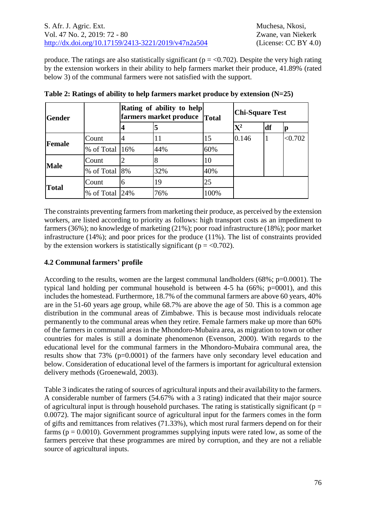produce. The ratings are also statistically significant ( $p = < 0.702$ ). Despite the very high rating by the extension workers in their ability to help farmers market their produce, 41.89% (rated below 3) of the communal farmers were not satisfied with the support.

| <b>Gender</b>                |                |   | Rating of ability to help<br>farmers market produce  Total |      | <b>Chi-Square Test</b>    |    |         |  |  |
|------------------------------|----------------|---|------------------------------------------------------------|------|---------------------------|----|---------|--|--|
|                              |                | 4 | 5                                                          |      | $\mathbf{X}^{\mathbf{2}}$ | df | p       |  |  |
| <b>Female</b><br><b>Male</b> | Count          |   | 11                                                         | 15   | 0.146                     | 1  | < 0.702 |  |  |
|                              | % of Total 16% |   | 44%                                                        | 60%  |                           |    |         |  |  |
|                              | Count          | 2 |                                                            | 10   |                           |    |         |  |  |
|                              | % of Total 8%  |   | 32%                                                        | 40%  |                           |    |         |  |  |
|                              | Count          | 6 | 19                                                         | 25   |                           |    |         |  |  |
| <b>Total</b>                 | % of Total 24% |   | 76%                                                        | 100% |                           |    |         |  |  |

|  | Table 2: Ratings of ability to help farmers market produce by extension $(N=25)$ |  |
|--|----------------------------------------------------------------------------------|--|
|  |                                                                                  |  |

The constraints preventing farmers from marketing their produce, as perceived by the extension workers, are listed according to priority as follows: high transport costs as an impediment to farmers (36%); no knowledge of marketing (21%); poor road infrastructure (18%); poor market infrastructure (14%); and poor prices for the produce (11%). The list of constraints provided by the extension workers is statistically significant ( $p = < 0.702$ ).

## **4.2 Communal farmers' profile**

According to the results, women are the largest communal landholders  $(68\%; p=0.0001)$ . The typical land holding per communal household is between 4-5 ha (66%; p=0001), and this includes the homestead. Furthermore, 18.7% of the communal farmers are above 60 years, 40% are in the 51-60 years age group, while 68.7% are above the age of 50. This is a common age distribution in the communal areas of Zimbabwe. This is because most individuals relocate permanently to the communal areas when they retire. Female farmers make up more than 60% of the farmers in communal areas in the Mhondoro-Mubaira area, as migration to town or other countries for males is still a dominate phenomenon (Evenson, 2000). With regards to the educational level for the communal farmers in the Mhondoro-Mubaira communal area, the results show that 73% (p=0.0001) of the farmers have only secondary level education and below. Consideration of educational level of the farmers is important for agricultural extension delivery methods (Groenewald, 2003).

Table 3 indicates the rating of sources of agricultural inputs and their availability to the farmers. A considerable number of farmers (54.67% with a 3 rating) indicated that their major source of agricultural input is through household purchases. The rating is statistically significant ( $p =$ 0.0072). The major significant source of agricultural input for the farmers comes in the form of gifts and remittances from relatives (71.33%), which most rural farmers depend on for their farms ( $p = 0.0010$ ). Government programmes supplying inputs were rated low, as some of the farmers perceive that these programmes are mired by corruption, and they are not a reliable source of agricultural inputs.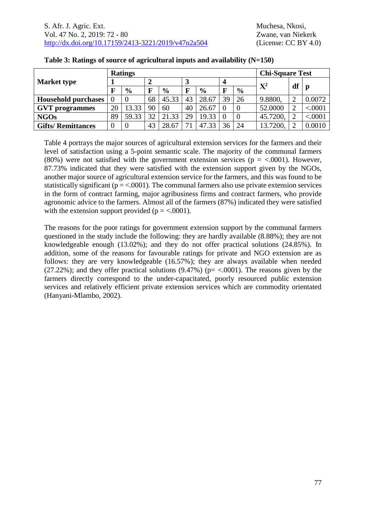|                            |    | <b>Ratings</b> |    | <b>Chi-Square Test</b> |    |               |          |               |          |                |         |
|----------------------------|----|----------------|----|------------------------|----|---------------|----------|---------------|----------|----------------|---------|
| <b>Market type</b>         |    |                |    |                        |    |               |          |               | $X^2$    |                |         |
|                            | F  | $\frac{6}{9}$  | F  | $\frac{0}{0}$          | F  | $\frac{6}{9}$ | F        | $\frac{6}{9}$ |          | df             | p       |
| <b>Household purchases</b> | 0  |                | 68 | 45.33                  | 43 | 28.67         | 39       | 26            | 9.8800,  | $\mathcal{D}$  | 0.0072  |
| <b>GVT</b> programmes      | 20 | 13.33          | 90 | 60                     | 40 | 26.67         | $\Omega$ |               | 52.0000  | $\mathcal{D}$  | < .0001 |
| <b>NGOs</b>                | 89 | 59.33          | 32 | 21.33                  | 29 | 19.33         | $\Omega$ | $\theta$      | 45.7200, | $\overline{2}$ | < .0001 |
| <b>Gifts/Remittances</b>   | 0  |                | 43 | 28.67                  |    | 47.33         | 36       | 24            | 13.7200, | ∍              | 0.0010  |

#### **Table 3: Ratings of source of agricultural inputs and availability (N=150)**

Table 4 portrays the major sources of agricultural extension services for the farmers and their level of satisfaction using a 5-point semantic scale. The majority of the communal farmers (80%) were not satisfied with the government extension services ( $p = <.0001$ ). However, 87.73% indicated that they were satisfied with the extension support given by the NGOs, another major source of agricultural extension service for the farmers, and this was found to be statistically significant ( $p = <.0001$ ). The communal farmers also use private extension services in the form of contract farming, major agribusiness firms and contract farmers, who provide agronomic advice to the farmers. Almost all of the farmers (87%) indicated they were satisfied with the extension support provided ( $p = < .0001$ ).

The reasons for the poor ratings for government extension support by the communal farmers questioned in the study include the following: they are hardly available (8.88%); they are not knowledgeable enough (13.02%); and they do not offer practical solutions (24.85%). In addition, some of the reasons for favourable ratings for private and NGO extension are as follows: they are very knowledgeable (16.57%); they are always available when needed (27.22%); and they offer practical solutions (9.47%) ( $p = < .0001$ ). The reasons given by the farmers directly correspond to the under-capacitated, poorly resourced public extension services and relatively efficient private extension services which are commodity orientated (Hanyani-Mlambo, 2002).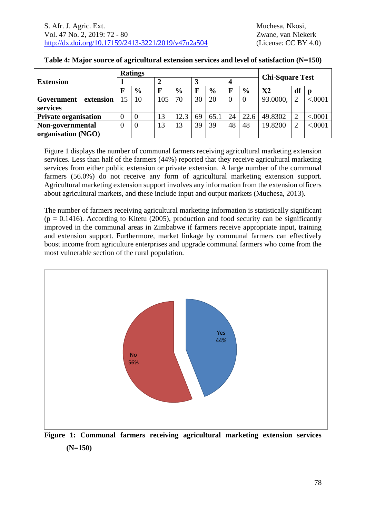| <b>Extension</b>            |          | <b>Ratings</b> |     |               |    |               |    |               |                        |                |         |
|-----------------------------|----------|----------------|-----|---------------|----|---------------|----|---------------|------------------------|----------------|---------|
|                             |          |                |     |               |    |               |    |               | <b>Chi-Square Test</b> |                |         |
|                             |          | $\frac{6}{9}$  |     | $\frac{6}{9}$ | F  | $\frac{6}{9}$ |    | $\frac{6}{9}$ | X2                     | df             |         |
| extension<br>Government     |          | 10             | 105 | 70            | 30 | 20            |    |               | 93.0000,               | $\overline{2}$ | < .0001 |
| services                    |          |                |     |               |    |               |    |               |                        |                |         |
| <b>Private organisation</b> | $\Omega$ |                | 13  | 12.3          | 69 | 65.1          | 24 | 22.6          | 49.8302                | $\overline{2}$ | < .0001 |
| Non-governmental            | $\theta$ | $\overline{0}$ | 13  | 13            | 39 | 39            | 48 | 48            | 19.8200                | $\overline{2}$ | < .0001 |
| organisation (NGO)          |          |                |     |               |    |               |    |               |                        |                |         |

#### **Table 4: Major source of agricultural extension services and level of satisfaction (N=150)**

Figure 1 displays the number of communal farmers receiving agricultural marketing extension services. Less than half of the farmers (44%) reported that they receive agricultural marketing services from either public extension or private extension. A large number of the communal farmers (56.0%) do not receive any form of agricultural marketing extension support. Agricultural marketing extension support involves any information from the extension officers about agricultural markets, and these include input and output markets (Muchesa, 2013).

The number of farmers receiving agricultural marketing information is statistically significant  $(p = 0.1416)$ . According to Kitetu (2005), production and food security can be significantly improved in the communal areas in Zimbabwe if farmers receive appropriate input, training and extension support. Furthermore, market linkage by communal farmers can effectively boost income from agriculture enterprises and upgrade communal farmers who come from the most vulnerable section of the rural population.



**Figure 1: Communal farmers receiving agricultural marketing extension services (N=150)**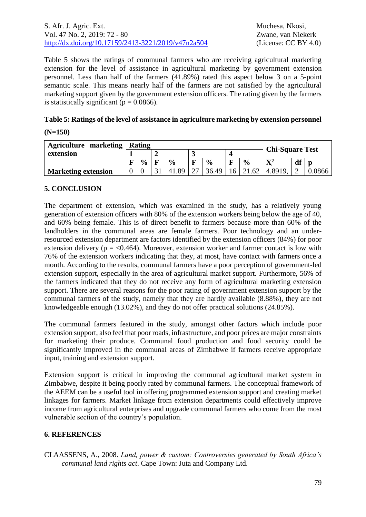### S. Afr. J. Agric. Ext. Muchesa, Nkosi, Vol. 47 No. 2, 2019: 72 - 80 Zwane, van Niekerk [http://dx.doi.org/10.17159/2413-3221/2019/v47n2a5](https://urldefense.proofpoint.com/v2/url?u=http-3A__dx.doi.org_10.17159_2413-2D3221_2019_v47n1a485&d=DwMFAg&c=vTCSeBKl9YZZHWJzz-zQUQ&r=2O1irMqrdumXAIE9PdSLREhTXj5iyPGEywcz8I6zQwI&m=niwmmhX1mCI8GpeJjK8D7j-v09hQgXHBu3LsS3Opojw&s=98o8gy8B6ly02TS5WoJvLScIQPXENi4ceK3R3c9Iu9c&e=)04 (License: CC BY 4.0)

Table 5 shows the ratings of communal farmers who are receiving agricultural marketing extension for the level of assistance in agricultural marketing by government extension personnel. Less than half of the farmers (41.89%) rated this aspect below 3 on a 5-point semantic scale. This means nearly half of the farmers are not satisfied by the agricultural marketing support given by the government extension officers. The rating given by the farmers is statistically significant ( $p = 0.0866$ ).

| Table 5: Ratings of the level of assistance in agriculture marketing by extension personnel |
|---------------------------------------------------------------------------------------------|
|                                                                                             |

### **(N=150)**

| <b>Agriculture marketing</b> |   | <b>Rating</b> |  |                  | <b>Chi-Square Test</b> |               |    |               |              |    |        |
|------------------------------|---|---------------|--|------------------|------------------------|---------------|----|---------------|--------------|----|--------|
| extension                    |   |               |  |                  |                        |               |    | $\sim$        |              |    |        |
|                              | ю | $\frac{6}{9}$ |  | $\frac{0}{0}$    | F                      | $\frac{0}{0}$ | п  | $\frac{6}{9}$ | $\mathbf{v}$ | df |        |
| <b>Marketing extension</b>   |   |               |  | 89<br>$\Delta$ 1 |                        | 36.49         | 16 | .62           | 4.8919.      |    | 0.0866 |

## **5. CONCLUSION**

The department of extension, which was examined in the study, has a relatively young generation of extension officers with 80% of the extension workers being below the age of 40, and 60% being female. This is of direct benefit to farmers because more than 60% of the landholders in the communal areas are female farmers. Poor technology and an underresourced extension department are factors identified by the extension officers (84%) for poor extension delivery ( $p = < 0.464$ ). Moreover, extension worker and farmer contact is low with 76% of the extension workers indicating that they, at most, have contact with farmers once a month. According to the results, communal farmers have a poor perception of government-led extension support, especially in the area of agricultural market support. Furthermore, 56% of the farmers indicated that they do not receive any form of agricultural marketing extension support. There are several reasons for the poor rating of government extension support by the communal farmers of the study, namely that they are hardly available (8.88%), they are not knowledgeable enough (13.02%), and they do not offer practical solutions (24.85%).

The communal farmers featured in the study, amongst other factors which include poor extension support, also feel that poor roads, infrastructure, and poor prices are major constraints for marketing their produce. Communal food production and food security could be significantly improved in the communal areas of Zimbabwe if farmers receive appropriate input, training and extension support.

Extension support is critical in improving the communal agricultural market system in Zimbabwe, despite it being poorly rated by communal farmers. The conceptual framework of the AEEM can be a useful tool in offering programmed extension support and creating market linkages for farmers. Market linkage from extension departments could effectively improve income from agricultural enterprises and upgrade communal farmers who come from the most vulnerable section of the country's population.

## **6. REFERENCES**

CLAASSENS, A., 2008. *Land, power & custom: Controversies generated by South Africa's communal land rights act*. Cape Town: Juta and Company Ltd.